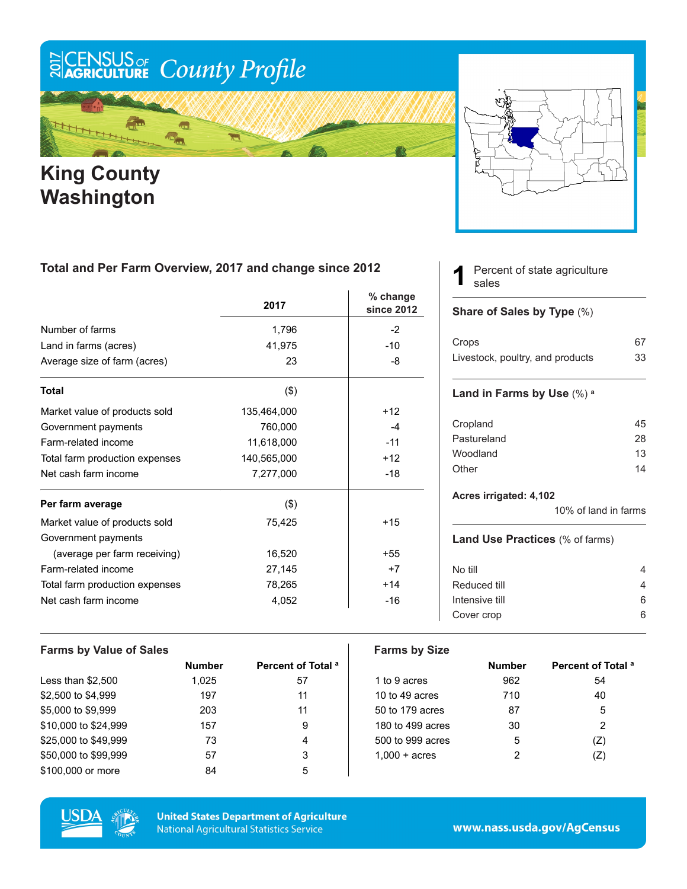# ECENSUS OF County Profile

### m ₩

### **King County Washington**



#### **Total and Per Farm Overview, 2017 and change since 2012**

|                                | 2017        | $%$ change<br>since 2012 |
|--------------------------------|-------------|--------------------------|
| Number of farms                | 1,796       | $-2$                     |
| Land in farms (acres)          | 41,975      | $-10$                    |
| Average size of farm (acres)   | 23          | -8                       |
| <b>Total</b>                   | $($ \$)     |                          |
| Market value of products sold  | 135,464,000 | $+12$                    |
| Government payments            | 760,000     | $-4$                     |
| Farm-related income            | 11,618,000  | $-11$                    |
| Total farm production expenses | 140,565,000 | $+12$                    |
| Net cash farm income           | 7,277,000   | $-18$                    |
| Per farm average               | $($ \$)     |                          |
| Market value of products sold  | 75,425      | $+15$                    |
| Government payments            |             |                          |
| (average per farm receiving)   | 16,520      | $+55$                    |
| Farm-related income            | 27,145      | $+7$                     |
| Total farm production expenses | 78,265      | $+14$                    |
| Net cash farm income           | 4,052       | $-16$                    |

#### Percent of state agriculture sales **1**

#### **Share of Sales by Type** (%)

| Crops                            | 67 |
|----------------------------------|----|
| Livestock, poultry, and products | 33 |

#### **Land in Farms by Use** (%) **<sup>a</sup>**

| 45 |
|----|
| 28 |
| 13 |
| 14 |
|    |

#### **Acres irrigated: 4,102**

10% of land in farms

#### **Land Use Practices** (% of farms)

| No till        |    |
|----------------|----|
| Reduced till   |    |
| Intensive till | ิค |
| Cover crop     | ิค |
|                |    |

#### **Farms by Value of Sales Farms by Size Number Percent of Total <sup>a</sup> Number Percent of Total <sup>a</sup>** Less than \$2,500 1,025 57 1 to 9 acres 962 54  $$2,500$  to  $$4,999$   $$40$ \$5,000 to \$9,999 203 11 50 to 179 acres 87 5 \$10,000 to \$24,999 157 9 180 to 499 acres 30 2  $$25,000$  to  $$49,999$   $$73$   $$4$   $$500$  to  $$999$  acres  $$5$   $$(Z)$ \$50,000 to \$99,999 57 57 3 1,000 + acres 2 (Z) \$100,000 or more 64 84 5



**United States Department of Agriculture National Agricultural Statistics Service** 

www.nass.usda.gov/AgCensus